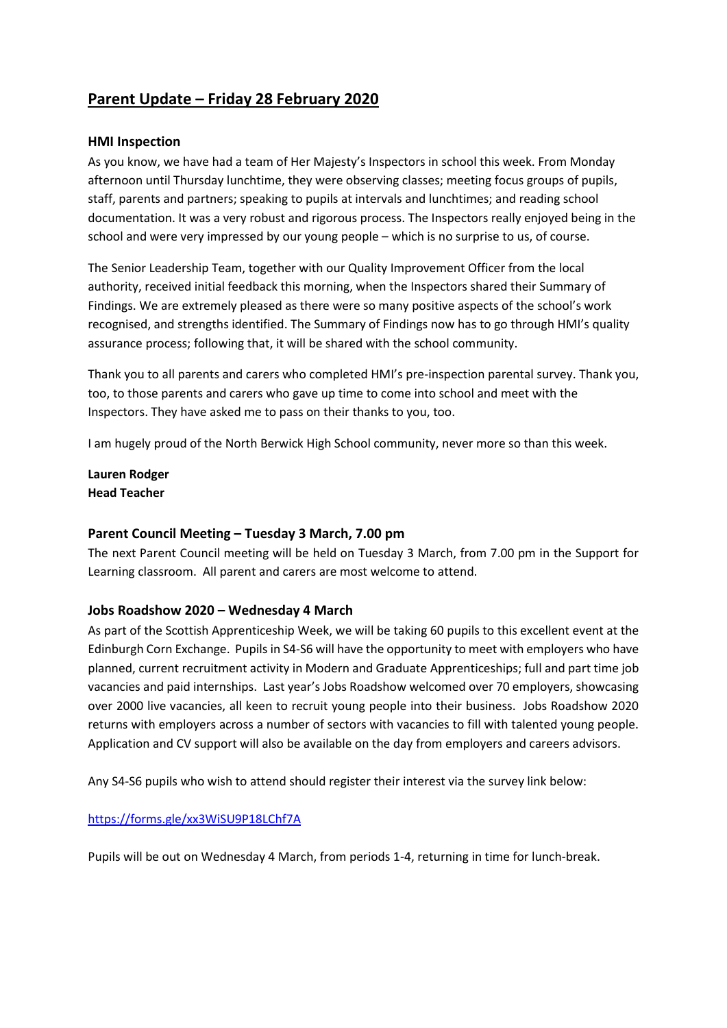# **Parent Update – Friday 28 February 2020**

### **HMI Inspection**

As you know, we have had a team of Her Majesty's Inspectors in school this week. From Monday afternoon until Thursday lunchtime, they were observing classes; meeting focus groups of pupils, staff, parents and partners; speaking to pupils at intervals and lunchtimes; and reading school documentation. It was a very robust and rigorous process. The Inspectors really enjoyed being in the school and were very impressed by our young people – which is no surprise to us, of course.

The Senior Leadership Team, together with our Quality Improvement Officer from the local authority, received initial feedback this morning, when the Inspectors shared their Summary of Findings. We are extremely pleased as there were so many positive aspects of the school's work recognised, and strengths identified. The Summary of Findings now has to go through HMI's quality assurance process; following that, it will be shared with the school community.

Thank you to all parents and carers who completed HMI's pre-inspection parental survey. Thank you, too, to those parents and carers who gave up time to come into school and meet with the Inspectors. They have asked me to pass on their thanks to you, too.

I am hugely proud of the North Berwick High School community, never more so than this week.

**Lauren Rodger Head Teacher**

### **Parent Council Meeting – Tuesday 3 March, 7.00 pm**

The next Parent Council meeting will be held on Tuesday 3 March, from 7.00 pm in the Support for Learning classroom. All parent and carers are most welcome to attend.

### **Jobs Roadshow 2020 – Wednesday 4 March**

As part of the Scottish Apprenticeship Week, we will be taking 60 pupils to this excellent event at the Edinburgh Corn Exchange. Pupils in S4-S6 will have the opportunity to meet with employers who have planned, current recruitment activity in Modern and Graduate Apprenticeships; full and part time job vacancies and paid internships. Last year's Jobs Roadshow welcomed over 70 employers, showcasing over 2000 live vacancies, all keen to recruit young people into their business. Jobs Roadshow 2020 returns with employers across a number of sectors with vacancies to fill with talented young people. Application and CV support will also be available on the day from employers and careers advisors.

Any S4-S6 pupils who wish to attend should register their interest via the survey link below:

<https://forms.gle/xx3WiSU9P18LChf7A>

Pupils will be out on Wednesday 4 March, from periods 1-4, returning in time for lunch-break.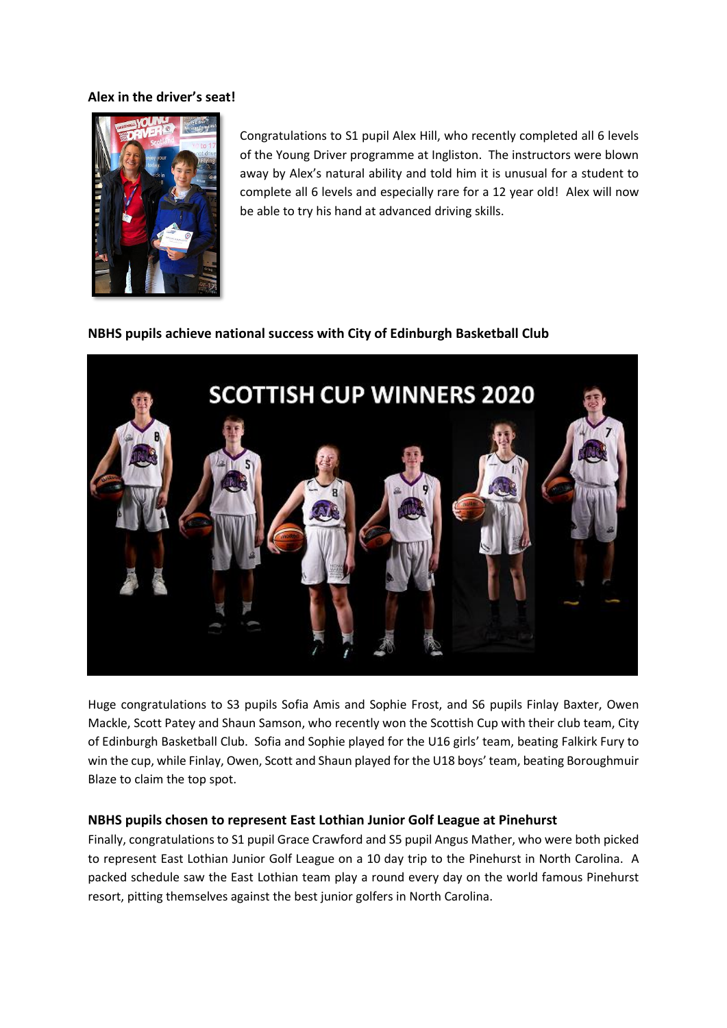#### **Alex in the driver's seat!**



Congratulations to S1 pupil Alex Hill, who recently completed all 6 levels of the Young Driver programme at Ingliston. The instructors were blown away by Alex's natural ability and told him it is unusual for a student to complete all 6 levels and especially rare for a 12 year old! Alex will now be able to try his hand at advanced driving skills.

### **NBHS pupils achieve national success with City of Edinburgh Basketball Club**



Huge congratulations to S3 pupils Sofia Amis and Sophie Frost, and S6 pupils Finlay Baxter, Owen Mackle, Scott Patey and Shaun Samson, who recently won the Scottish Cup with their club team, City of Edinburgh Basketball Club. Sofia and Sophie played for the U16 girls' team, beating Falkirk Fury to win the cup, while Finlay, Owen, Scott and Shaun played for the U18 boys' team, beating Boroughmuir Blaze to claim the top spot.

### **NBHS pupils chosen to represent East Lothian Junior Golf League at Pinehurst**

Finally, congratulations to S1 pupil Grace Crawford and S5 pupil Angus Mather, who were both picked to represent East Lothian Junior Golf League on a 10 day trip to the Pinehurst in North Carolina. A packed schedule saw the East Lothian team play a round every day on the world famous Pinehurst resort, pitting themselves against the best junior golfers in North Carolina.